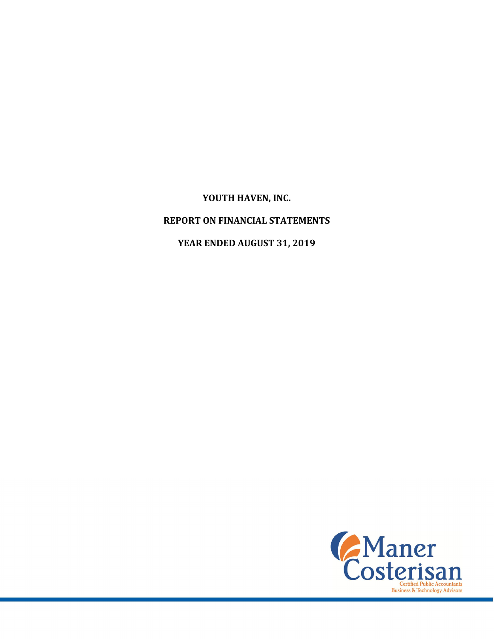# **YOUTH HAVEN, INC.**

# **REPORT ON FINANCIAL STATEMENTS**

**YEAR ENDED AUGUST 31, 2019**

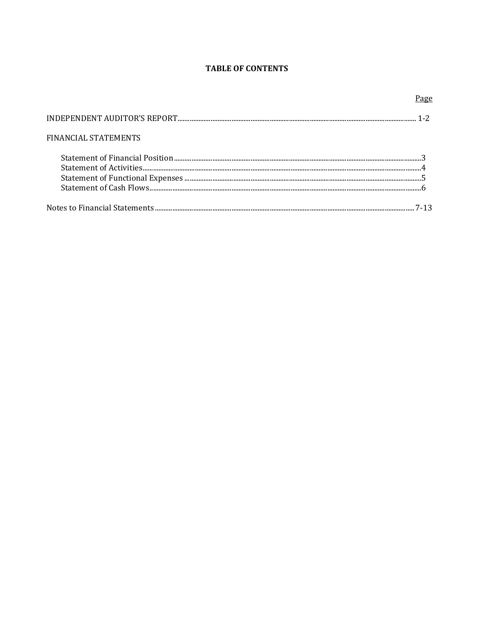# **TABLE OF CONTENTS**

| FINANCIAL STATEMENTS |  |
|----------------------|--|
|                      |  |
|                      |  |
|                      |  |
|                      |  |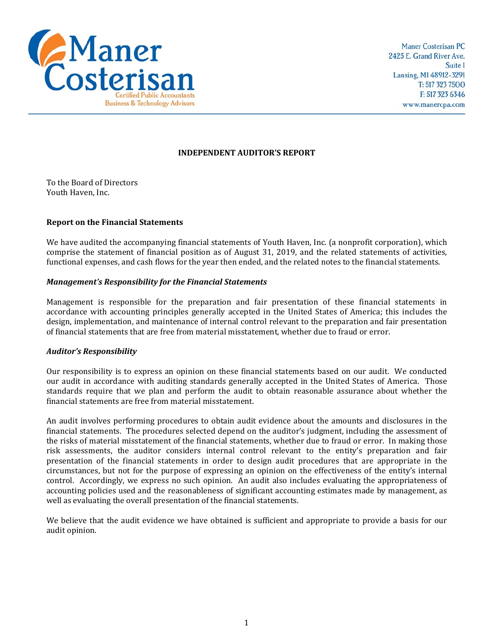

# **INDEPENDENT AUDITOR'S REPORT**

To the Board of Directors Youth Haven, Inc.

# **Report on the Financial Statements**

We have audited the accompanying financial statements of Youth Haven, Inc. (a nonprofit corporation), which comprise the statement of financial position as of August 31, 2019, and the related statements of activities, functional expenses, and cash flows for the year then ended, and the related notes to the financial statements.

# *Management's Responsibility for the Financial Statements*

Management is responsible for the preparation and fair presentation of these financial statements in accordance with accounting principles generally accepted in the United States of America; this includes the design, implementation, and maintenance of internal control relevant to the preparation and fair presentation of financial statements that are free from material misstatement, whether due to fraud or error.

# *Auditor's Responsibility*

Our responsibility is to express an opinion on these financial statements based on our audit. We conducted our audit in accordance with auditing standards generally accepted in the United States of America. Those standards require that we plan and perform the audit to obtain reasonable assurance about whether the financial statements are free from material misstatement.

An audit involves performing procedures to obtain audit evidence about the amounts and disclosures in the financial statements. The procedures selected depend on the auditor's judgment, including the assessment of the risks of material misstatement of the financial statements, whether due to fraud or error. In making those risk assessments, the auditor considers internal control relevant to the entity's preparation and fair presentation of the financial statements in order to design audit procedures that are appropriate in the circumstances, but not for the purpose of expressing an opinion on the effectiveness of the entity's internal control. Accordingly, we express no such opinion. An audit also includes evaluating the appropriateness of accounting policies used and the reasonableness of significant accounting estimates made by management, as well as evaluating the overall presentation of the financial statements.

We believe that the audit evidence we have obtained is sufficient and appropriate to provide a basis for our audit opinion.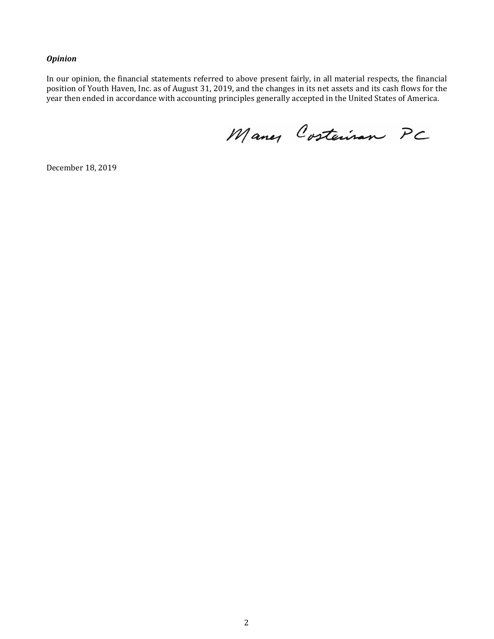## *Opinion*

In our opinion, the financial statements referred to above present fairly, in all material respects, the financial position of Youth Haven, Inc. as of August 31, 2019, and the changes in its net assets and its cash flows for the year then ended in accordance with accounting principles generally accepted in the United States of America.

Many Costerinan PC

December 18, 2019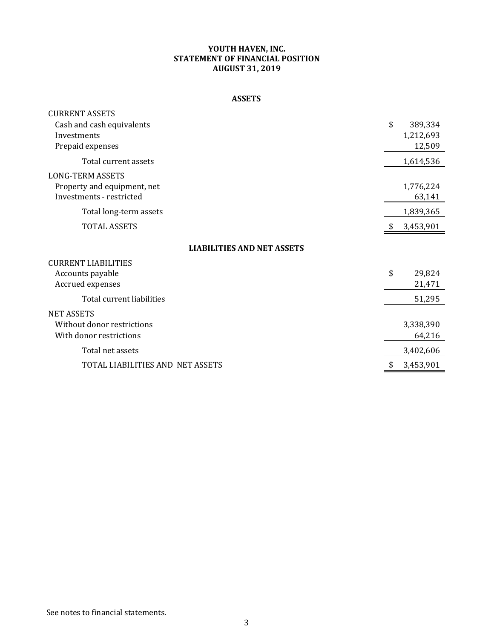# **YOUTH HAVEN, INC. STATEMENT OF FINANCIAL POSITION AUGUST 31, 2019**

# **ASSETS**

| <b>CURRENT ASSETS</b>                   |                 |
|-----------------------------------------|-----------------|
| Cash and cash equivalents               | \$<br>389,334   |
| Investments                             | 1,212,693       |
| Prepaid expenses                        | 12,509          |
| Total current assets                    | 1,614,536       |
| <b>LONG-TERM ASSETS</b>                 |                 |
| Property and equipment, net             | 1,776,224       |
| Investments - restricted                | 63,141          |
| Total long-term assets                  | 1,839,365       |
| <b>TOTAL ASSETS</b>                     | 3,453,901       |
| <b>LIABILITIES AND NET ASSETS</b>       |                 |
| <b>CURRENT LIABILITIES</b>              |                 |
| Accounts payable                        | \$<br>29,824    |
| Accrued expenses                        | 21,471          |
| Total current liabilities               | 51,295          |
| <b>NET ASSETS</b>                       |                 |
| Without donor restrictions              | 3,338,390       |
| With donor restrictions                 | 64,216          |
| Total net assets                        | 3,402,606       |
| <b>TOTAL LIABILITIES AND NET ASSETS</b> | \$<br>3,453,901 |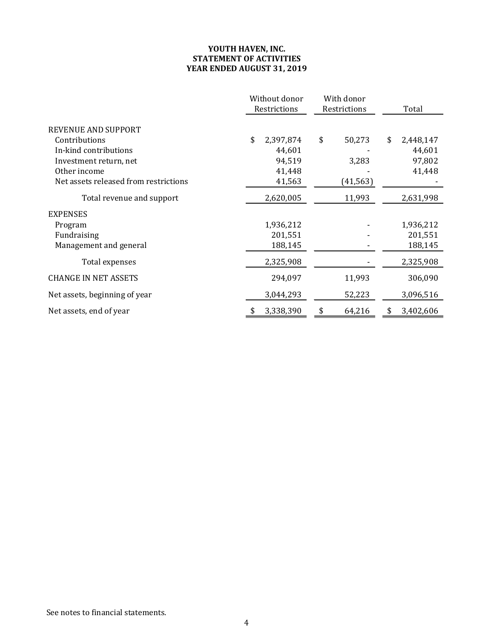# **YOUTH HAVEN, INC. STATEMENT OF ACTIVITIES YEAR ENDED AUGUST 31, 2019**

|                                       | Without donor   | With donor   |                 |  |
|---------------------------------------|-----------------|--------------|-----------------|--|
|                                       | Restrictions    | Restrictions | Total           |  |
| REVENUE AND SUPPORT                   |                 |              |                 |  |
| Contributions                         | \$<br>2,397,874 | \$<br>50,273 | \$<br>2,448,147 |  |
| In-kind contributions                 | 44,601          |              | 44,601          |  |
| Investment return, net                | 94,519          | 3,283        | 97,802          |  |
| Other income                          | 41,448          |              | 41,448          |  |
| Net assets released from restrictions | 41,563          | (41, 563)    |                 |  |
| Total revenue and support             | 2,620,005       | 11,993       | 2,631,998       |  |
| <b>EXPENSES</b>                       |                 |              |                 |  |
| Program                               | 1,936,212       |              | 1,936,212       |  |
| Fundraising                           | 201,551         |              | 201,551         |  |
| Management and general                | 188,145         |              | 188,145         |  |
| Total expenses                        | 2,325,908       |              | 2,325,908       |  |
| <b>CHANGE IN NET ASSETS</b>           | 294,097         | 11,993       | 306,090         |  |
| Net assets, beginning of year         | 3,044,293       | 52,223       | 3,096,516       |  |
| Net assets, end of year               | 3,338,390       | 64,216<br>S  | 3,402,606<br>\$ |  |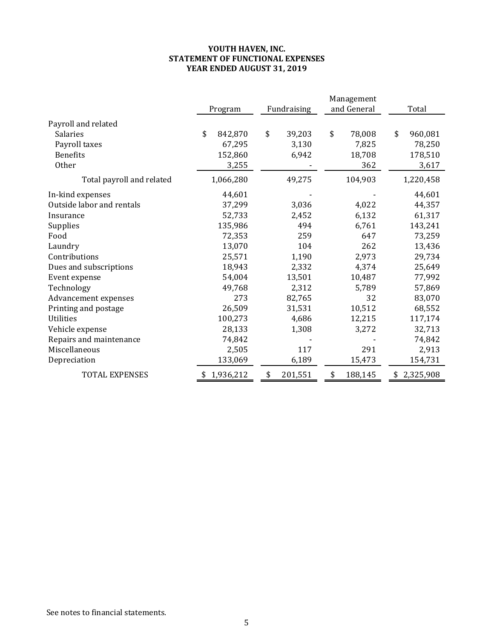# **YOUTH HAVEN, INC. STATEMENT OF FUNCTIONAL EXPENSES YEAR ENDED AUGUST 31, 2019**

|                           |                 |               | Management    |                 |
|---------------------------|-----------------|---------------|---------------|-----------------|
|                           | Program         | Fundraising   | and General   | Total           |
| Payroll and related       |                 |               |               |                 |
| <b>Salaries</b>           | \$<br>842,870   | \$<br>39,203  | \$<br>78,008  | \$<br>960,081   |
| Payroll taxes             | 67,295          | 3,130         | 7,825         | 78,250          |
| <b>Benefits</b>           | 152,860         | 6,942         | 18,708        | 178,510         |
| <b>Other</b>              | 3,255           |               | 362           | 3,617           |
| Total payroll and related | 1,066,280       | 49,275        | 104,903       | 1,220,458       |
| In-kind expenses          | 44,601          |               |               | 44,601          |
| Outside labor and rentals | 37,299          | 3,036         | 4,022         | 44,357          |
| Insurance                 | 52,733          | 2,452         | 6,132         | 61,317          |
| Supplies                  | 135,986         | 494           | 6,761         | 143,241         |
| Food                      | 72,353          | 259           | 647           | 73,259          |
| Laundry                   | 13,070          | 104           | 262           | 13,436          |
| Contributions             | 25,571          | 1,190         | 2,973         | 29,734          |
| Dues and subscriptions    | 18,943          | 2,332         | 4,374         | 25,649          |
| Event expense             | 54,004          | 13,501        | 10,487        | 77,992          |
| Technology                | 49,768          | 2,312         | 5,789         | 57,869          |
| Advancement expenses      | 273             | 82,765        | 32            | 83,070          |
| Printing and postage      | 26,509          | 31,531        | 10,512        | 68,552          |
| <b>Utilities</b>          | 100,273         | 4,686         | 12,215        | 117,174         |
| Vehicle expense           | 28,133          | 1,308         | 3,272         | 32,713          |
| Repairs and maintenance   | 74,842          |               |               | 74,842          |
| Miscellaneous             | 2,505           | 117           | 291           | 2,913           |
| Depreciation              | 133,069         | 6,189         | 15,473        | 154,731         |
| <b>TOTAL EXPENSES</b>     | 1,936,212<br>\$ | \$<br>201,551 | \$<br>188,145 | 2,325,908<br>\$ |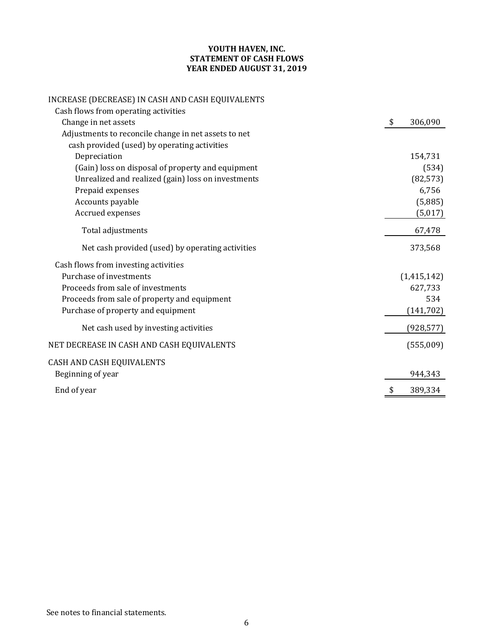# **YOUTH HAVEN, INC. STATEMENT OF CASH FLOWS YEAR ENDED AUGUST 31, 2019**

# INCREASE (DECREASE) IN CASH AND CASH EQUIVALENTS

| Cash flows from operating activities                 |               |
|------------------------------------------------------|---------------|
| Change in net assets                                 | \$<br>306,090 |
| Adjustments to reconcile change in net assets to net |               |
| cash provided (used) by operating activities         |               |
| Depreciation                                         | 154,731       |
| (Gain) loss on disposal of property and equipment    | (534)         |
| Unrealized and realized (gain) loss on investments   | (82, 573)     |
| Prepaid expenses                                     | 6,756         |
| Accounts payable                                     | (5,885)       |
| Accrued expenses                                     | (5,017)       |
| Total adjustments                                    | 67,478        |
| Net cash provided (used) by operating activities     | 373,568       |
| Cash flows from investing activities                 |               |
| Purchase of investments                              | (1,415,142)   |
| Proceeds from sale of investments                    | 627,733       |
| Proceeds from sale of property and equipment         | 534           |
| Purchase of property and equipment                   | (141,702)     |
| Net cash used by investing activities                | (928, 577)    |
| NET DECREASE IN CASH AND CASH EQUIVALENTS            | (555,009)     |
| CASH AND CASH EQUIVALENTS                            |               |
| Beginning of year                                    | 944,343       |
| End of year                                          | 389,334<br>\$ |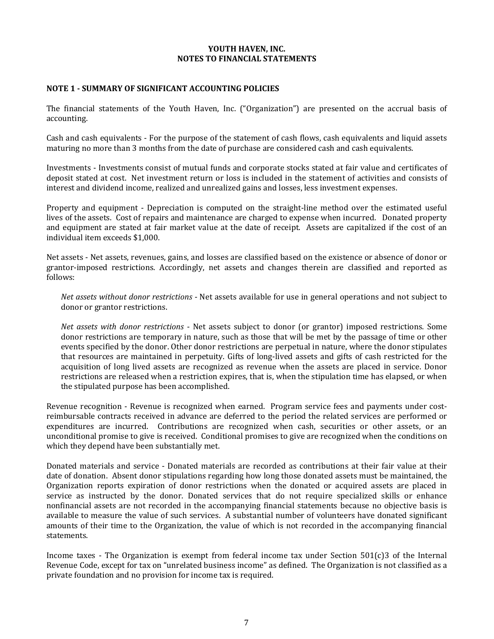#### **NOTE 1 ‐ SUMMARY OF SIGNIFICANT ACCOUNTING POLICIES**

The financial statements of the Youth Haven, Inc. ("Organization") are presented on the accrual basis of accounting. 

Cash and cash equivalents - For the purpose of the statement of cash flows, cash equivalents and liquid assets maturing no more than 3 months from the date of purchase are considered cash and cash equivalents.

Investments - Investments consist of mutual funds and corporate stocks stated at fair value and certificates of deposit stated at cost. Net investment return or loss is included in the statement of activities and consists of interest and dividend income, realized and unrealized gains and losses, less investment expenses.

Property and equipment - Depreciation is computed on the straight-line method over the estimated useful lives of the assets. Cost of repairs and maintenance are charged to expense when incurred. Donated property and equipment are stated at fair market value at the date of receipt. Assets are capitalized if the cost of an individual item exceeds \$1,000.

Net assets - Net assets, revenues, gains, and losses are classified based on the existence or absence of donor or grantor-imposed restrictions. Accordingly, net assets and changes therein are classified and reported as follows: 

*Net assets without donor restrictions* - Net assets available for use in general operations and not subject to donor or grantor restrictions.

*Net assets with donor restrictions* - Net assets subject to donor (or grantor) imposed restrictions. Some donor restrictions are temporary in nature, such as those that will be met by the passage of time or other events specified by the donor. Other donor restrictions are perpetual in nature, where the donor stipulates that resources are maintained in perpetuity. Gifts of long-lived assets and gifts of cash restricted for the acquisition of long lived assets are recognized as revenue when the assets are placed in service. Donor restrictions are released when a restriction expires, that is, when the stipulation time has elapsed, or when the stipulated purpose has been accomplished.

Revenue recognition - Revenue is recognized when earned. Program service fees and payments under costreimbursable contracts received in advance are deferred to the period the related services are performed or expenditures are incurred. Contributions are recognized when cash, securities or other assets, or an unconditional promise to give is received. Conditional promises to give are recognized when the conditions on which they depend have been substantially met.

Donated materials and service - Donated materials are recorded as contributions at their fair value at their date of donation. Absent donor stipulations regarding how long those donated assets must be maintained, the Organization reports expiration of donor restrictions when the donated or acquired assets are placed in service as instructed by the donor. Donated services that do not require specialized skills or enhance nonfinancial assets are not recorded in the accompanying financial statements because no objective basis is available to measure the value of such services. A substantial number of volunteers have donated significant amounts of their time to the Organization, the value of which is not recorded in the accompanying financial statements. 

Income taxes - The Organization is exempt from federal income tax under Section  $501(c)3$  of the Internal Revenue Code, except for tax on "unrelated business income" as defined. The Organization is not classified as a private foundation and no provision for income tax is required.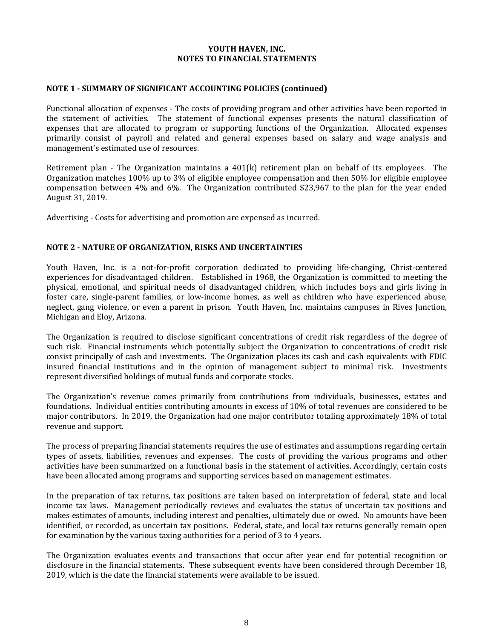#### **NOTE 1 ‐ SUMMARY OF SIGNIFICANT ACCOUNTING POLICIES (continued)**

Functional allocation of expenses - The costs of providing program and other activities have been reported in the statement of activities. The statement of functional expenses presents the natural classification of expenses that are allocated to program or supporting functions of the Organization. Allocated expenses primarily consist of payroll and related and general expenses based on salary and wage analysis and management's estimated use of resources.

Retirement plan - The Organization maintains a  $401(k)$  retirement plan on behalf of its employees. The Organization matches  $100\%$  up to  $3\%$  of eligible employee compensation and then  $50\%$  for eligible employee compensation between  $4\%$  and  $6\%$ . The Organization contributed \$23,967 to the plan for the year ended August 31, 2019. 

Advertising - Costs for advertising and promotion are expensed as incurred.

#### **NOTE 2 ‐ NATURE OF ORGANIZATION, RISKS AND UNCERTAINTIES**

Youth Haven, Inc. is a not-for-profit corporation dedicated to providing life-changing, Christ-centered experiences for disadvantaged children. Established in 1968, the Organization is committed to meeting the physical, emotional, and spiritual needs of disadvantaged children, which includes boys and girls living in foster care, single-parent families, or low-income homes, as well as children who have experienced abuse, neglect, gang violence, or even a parent in prison. Youth Haven, Inc. maintains campuses in Rives Junction, Michigan and Eloy, Arizona.

The Organization is required to disclose significant concentrations of credit risk regardless of the degree of such risk. Financial instruments which potentially subject the Organization to concentrations of credit risk consist principally of cash and investments. The Organization places its cash and cash equivalents with FDIC insured financial institutions and in the opinion of management subject to minimal risk. Investments represent diversified holdings of mutual funds and corporate stocks.

The Organization's revenue comes primarily from contributions from individuals, businesses, estates and foundations. Individual entities contributing amounts in excess of 10% of total revenues are considered to be major contributors. In 2019, the Organization had one major contributor totaling approximately 18% of total revenue and support.

The process of preparing financial statements requires the use of estimates and assumptions regarding certain types of assets, liabilities, revenues and expenses. The costs of providing the various programs and other activities have been summarized on a functional basis in the statement of activities. Accordingly, certain costs have been allocated among programs and supporting services based on management estimates.

In the preparation of tax returns, tax positions are taken based on interpretation of federal, state and local income tax laws. Management periodically reviews and evaluates the status of uncertain tax positions and makes estimates of amounts, including interest and penalties, ultimately due or owed. No amounts have been identified, or recorded, as uncertain tax positions. Federal, state, and local tax returns generally remain open for examination by the various taxing authorities for a period of 3 to 4 years.

The Organization evaluates events and transactions that occur after year end for potential recognition or disclosure in the financial statements. These subsequent events have been considered through December 18, 2019, which is the date the financial statements were available to be issued.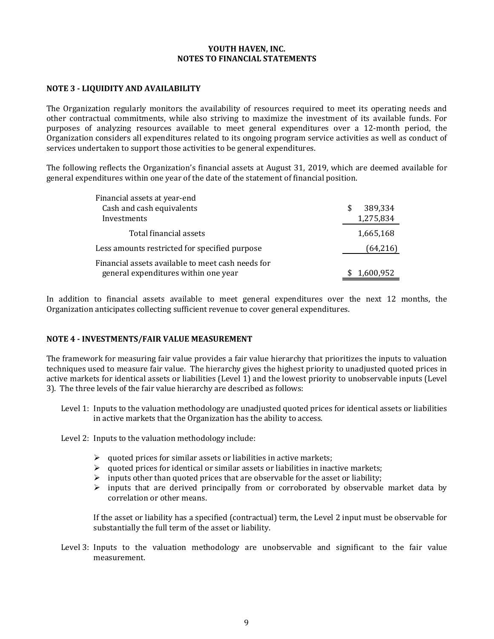#### **NOTE 3 ‐ LIQUIDITY AND AVAILABILITY**

The Organization regularly monitors the availability of resources required to meet its operating needs and other contractual commitments, while also striving to maximize the investment of its available funds. For purposes of analyzing resources available to meet general expenditures over a 12-month period, the Organization considers all expenditures related to its ongoing program service activities as well as conduct of services undertaken to support those activities to be general expenditures.

The following reflects the Organization's financial assets at August 31, 2019, which are deemed available for general expenditures within one year of the date of the statement of financial position.

| Financial assets at year-end                                                              |               |
|-------------------------------------------------------------------------------------------|---------------|
| Cash and cash equivalents                                                                 | 389,334<br>\$ |
| Investments                                                                               | 1,275,834     |
| Total financial assets                                                                    | 1,665,168     |
| Less amounts restricted for specified purpose                                             | (64, 216)     |
| Financial assets available to meet cash needs for<br>general expenditures within one year | 1,600,952     |

In addition to financial assets available to meet general expenditures over the next 12 months, the Organization anticipates collecting sufficient revenue to cover general expenditures.

# **NOTE 4 ‐ INVESTMENTS/FAIR VALUE MEASUREMENT**

The framework for measuring fair value provides a fair value hierarchy that prioritizes the inputs to valuation techniques used to measure fair value. The hierarchy gives the highest priority to unadjusted quoted prices in active markets for identical assets or liabilities (Level 1) and the lowest priority to unobservable inputs (Level 3). The three levels of the fair value hierarchy are described as follows:

- Level 1: Inputs to the valuation methodology are unadjusted quoted prices for identical assets or liabilities in active markets that the Organization has the ability to access.
- Level 2: Inputs to the valuation methodology include:
	- $\triangleright$  quoted prices for similar assets or liabilities in active markets;
	- $\triangleright$  quoted prices for identical or similar assets or liabilities in inactive markets;
	- $\triangleright$  inputs other than quoted prices that are observable for the asset or liability;
	- $\triangleright$  inputs that are derived principally from or corroborated by observable market data by correlation or other means.

If the asset or liability has a specified (contractual) term, the Level  $2$  input must be observable for substantially the full term of the asset or liability.

Level 3: Inputs to the valuation methodology are unobservable and significant to the fair value measurement.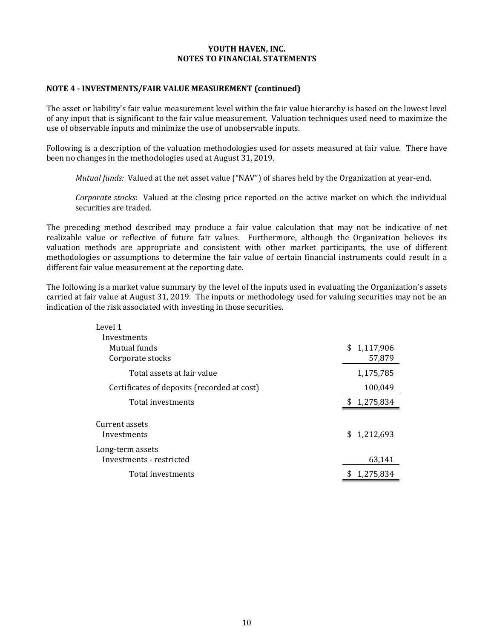#### **NOTE 4 ‐ INVESTMENTS/FAIR VALUE MEASUREMENT (continued)**

The asset or liability's fair value measurement level within the fair value hierarchy is based on the lowest level of any input that is significant to the fair value measurement. Valuation techniques used need to maximize the use of observable inputs and minimize the use of unobservable inputs.

Following is a description of the valuation methodologies used for assets measured at fair value. There have been no changes in the methodologies used at August 31, 2019.

*Mutual funds:* Valued at the net asset value ("NAV") of shares held by the Organization at year-end.

*Corporate stocks*: Valued at the closing price reported on the active market on which the individual securities are traded.

The preceding method described may produce a fair value calculation that may not be indicative of net realizable value or reflective of future fair values. Furthermore, although the Organization believes its valuation methods are appropriate and consistent with other market participants, the use of different methodologies or assumptions to determine the fair value of certain financial instruments could result in a different fair value measurement at the reporting date.

The following is a market value summary by the level of the inputs used in evaluating the Organization's assets carried at fair value at August 31, 2019. The inputs or methodology used for valuing securities may not be an indication of the risk associated with investing in those securities.

| Level 1                                      |             |
|----------------------------------------------|-------------|
| Investments<br>Mutual funds                  | \$1,117,906 |
| Corporate stocks                             | 57,879      |
| Total assets at fair value                   | 1,175,785   |
| Certificates of deposits (recorded at cost)  | 100,049     |
| Total investments                            | \$1,275,834 |
| Current assets<br>Investments                | \$1,212,693 |
| Long-term assets<br>Investments - restricted | 63,141      |
| Total investments                            | 1,275,834   |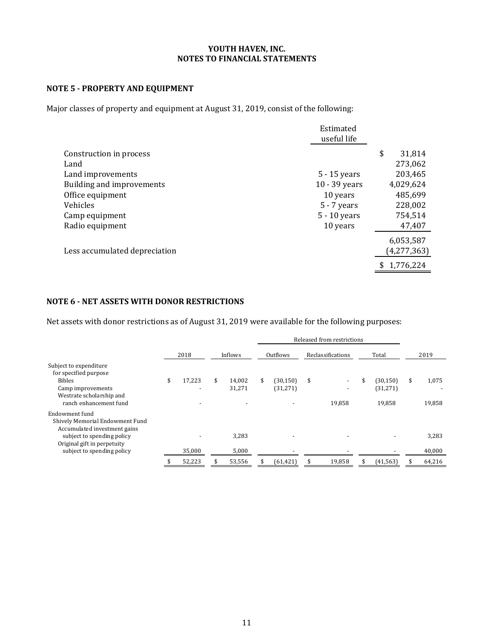# **NOTE 5 ‐ PROPERTY AND EQUIPMENT**

Major classes of property and equipment at August 31, 2019, consist of the following:

|                               | Estimated<br>useful life |               |
|-------------------------------|--------------------------|---------------|
| Construction in process       |                          | \$<br>31,814  |
| Land                          |                          | 273,062       |
| Land improvements             | 5 - 15 years             | 203,465       |
| Building and improvements     | 10 - 39 years            | 4,029,624     |
| Office equipment              | 10 years                 | 485,699       |
| Vehicles                      | $5 - 7$ years            | 228,002       |
| Camp equipment                | $5 - 10$ years           | 754,514       |
| Radio equipment               | 10 years                 | 47,407        |
|                               |                          | 6,053,587     |
| Less accumulated depreciation |                          | (4, 277, 363) |
|                               |                          | 1,776,224     |
|                               |                          |               |

# **NOTE 6 ‐ NET ASSETS WITH DONOR RESTRICTIONS**

Net assets with donor restrictions as of August 31, 2019 were available for the following purposes:

|                                                                                                                                                |              |         |                  | Released from restrictions |                        |    |                               |    |                                  |                       |  |      |
|------------------------------------------------------------------------------------------------------------------------------------------------|--------------|---------|------------------|----------------------------|------------------------|----|-------------------------------|----|----------------------------------|-----------------------|--|------|
|                                                                                                                                                | 2018         | Inflows |                  |                            |                        |    | Outflows<br>Reclassifications |    |                                  | Total                 |  | 2019 |
| Subject to expenditure<br>for specified purpose<br><b>Bibles</b><br>Camp improvements<br>Westrate scholarship and<br>ranch enhancement fund    | \$<br>17,223 | \$      | 14.002<br>31,271 | \$                         | (30, 150)<br>(31, 271) | \$ | $\overline{a}$<br>19,858      | \$ | (30, 150)<br>(31, 271)<br>19,858 | \$<br>1,075<br>19,858 |  |      |
| Endowment fund<br>Shively Memorial Endowment Fund<br>Accumulated investment gains<br>subject to spending policy<br>Original gift in perpetuity |              |         | 3,283            |                            |                        |    |                               |    |                                  | 3,283                 |  |      |
| subject to spending policy                                                                                                                     | 35,000       |         | 5,000            |                            |                        |    |                               |    |                                  | 40,000                |  |      |
|                                                                                                                                                | 52,223       |         | 53,556           |                            | (61, 421)              |    | 19,858                        |    | (41, 563)                        | 64,216                |  |      |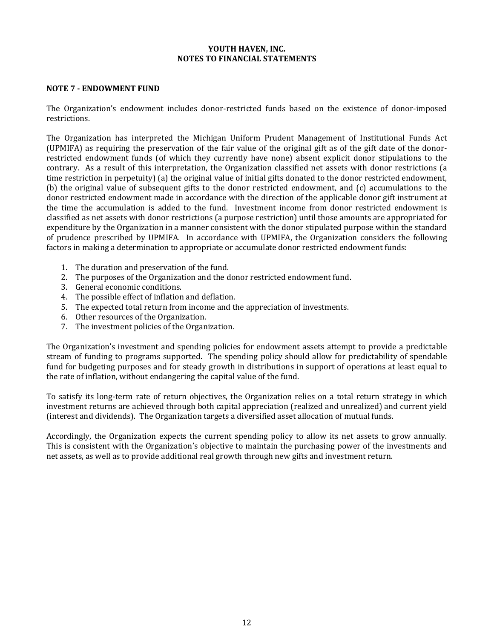#### **NOTE 7 ‐ ENDOWMENT FUND**

The Organization's endowment includes donor-restricted funds based on the existence of donor-imposed restrictions. 

The Organization has interpreted the Michigan Uniform Prudent Management of Institutional Funds Act (UPMIFA) as requiring the preservation of the fair value of the original gift as of the gift date of the donorrestricted endowment funds (of which they currently have none) absent explicit donor stipulations to the contrary. As a result of this interpretation, the Organization classified net assets with donor restrictions (a time restriction in perpetuity) (a) the original value of initial gifts donated to the donor restricted endowment, (b) the original value of subsequent gifts to the donor restricted endowment, and  $(c)$  accumulations to the donor restricted endowment made in accordance with the direction of the applicable donor gift instrument at the time the accumulation is added to the fund. Investment income from donor restricted endowment is classified as net assets with donor restrictions (a purpose restriction) until those amounts are appropriated for expenditure by the Organization in a manner consistent with the donor stipulated purpose within the standard of prudence prescribed by UPMIFA. In accordance with UPMIFA, the Organization considers the following factors in making a determination to appropriate or accumulate donor restricted endowment funds:

- 1. The duration and preservation of the fund.
- 2. The purposes of the Organization and the donor restricted endowment fund.
- 3. General economic conditions.
- 4. The possible effect of inflation and deflation.
- 5. The expected total return from income and the appreciation of investments.
- 6. Other resources of the Organization.
- 7. The investment policies of the Organization.

The Organization's investment and spending policies for endowment assets attempt to provide a predictable stream of funding to programs supported. The spending policy should allow for predictability of spendable fund for budgeting purposes and for steady growth in distributions in support of operations at least equal to the rate of inflation, without endangering the capital value of the fund.

To satisfy its long-term rate of return objectives, the Organization relies on a total return strategy in which investment returns are achieved through both capital appreciation (realized and unrealized) and current yield (interest and dividends). The Organization targets a diversified asset allocation of mutual funds.

Accordingly, the Organization expects the current spending policy to allow its net assets to grow annually. This is consistent with the Organization's objective to maintain the purchasing power of the investments and net assets, as well as to provide additional real growth through new gifts and investment return.